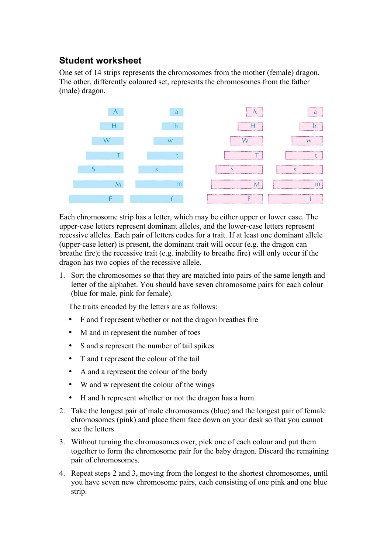## **Student worksheet**

One set of 14 strips represents the chromosomes from the mother (female) dragon. The other, differently coloured set, represents the chromosomes from the father (male) dragon.



Each chromosome strip has a letter, which may be either upper or lower case. The upper-case letters represent dominant alleles, and the lower-case letters represent recessive alleles. Each pair of letters codes for a trait. If at least one dominant allele (upper-case letter) is present, the dominant trait will occur (e.g. the dragon can breathe fire); the recessive trait (e.g. inability to breathe fire) will only occur if the dragon has two copies of the recessive allele.

1. Sort the chromosomes so that they are matched into pairs of the same length and letter of the alphabet. You should have seven chromosome pairs for each colour (blue for male, pink for female).

The traits encoded by the letters are as follows:

- F and f represent whether or not the dragon breathes fire
- M and m represent the number of toes
- S and s represent the number of tail spikes
- T and t represent the colour of the tail
- A and a represent the colour of the body
- W and w represent the colour of the wings
- H and h represent whether or not the dragon has a horn.
- 2. Take the longest pair of male chromosomes (blue) and the longest pair of female chromosomes (pink) and place them face down on your desk so that you cannot see the letters.
- 3. Without turning the chromosomes over, pick one of each colour and put them together to form the chromosome pair for the baby dragon. Discard the remaining pair of chromosomes.
- 4. Repeat steps 2 and 3, moving from the longest to the shortest chromosomes, until you have seven new chromosome pairs, each consisting of one pink and one blue strip.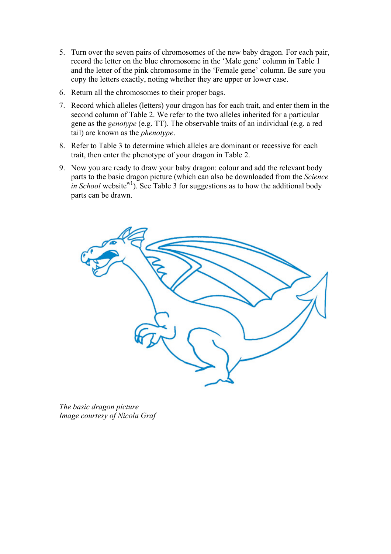- 5. Turn over the seven pairs of chromosomes of the new baby dragon. For each pair, record the letter on the blue chromosome in the 'Male gene' column in Table 1 and the letter of the pink chromosome in the 'Female gene' column. Be sure you copy the letters exactly, noting whether they are upper or lower case.
- 6. Return all the chromosomes to their proper bags.
- 7. Record which alleles (letters) your dragon has for each trait, and enter them in the second column of Table 2. We refer to the two alleles inherited for a particular gene as the *genotype* (e.g. TT). The observable traits of an individual (e.g. a red tail) are known as the *phenotype*.
- 8. Refer to Table 3 to determine which alleles are dominant or recessive for each trait, then enter the phenotype of your dragon in Table 2.
- 9. Now you are ready to draw your baby dragon: colour and add the relevant body parts to the basic dragon picture (which can also be downloaded from the *Science in School* website<sup>w1</sup>). See Table 3 for suggestions as to how the additional body parts can be drawn.



*The basic dragon picture Image courtesy of Nicola Graf*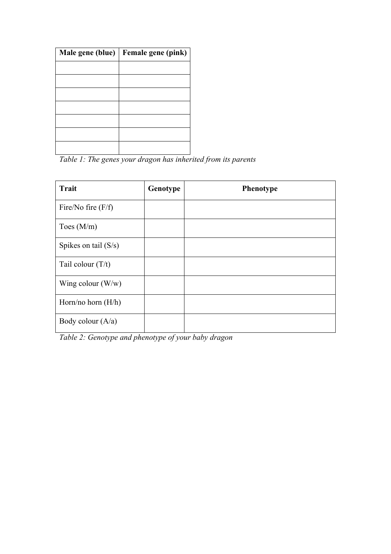| Male gene (blue) | Female gene (pink) |
|------------------|--------------------|
|                  |                    |
|                  |                    |
|                  |                    |
|                  |                    |
|                  |                    |
|                  |                    |
|                  |                    |

*Table 1: The genes your dragon has inherited from its parents*

| <b>Trait</b>           | Genotype | Phenotype |
|------------------------|----------|-----------|
| Fire/No fire $(F/f)$   |          |           |
| Toes $(M/m)$           |          |           |
| Spikes on tail $(S/s)$ |          |           |
| Tail colour $(T/t)$    |          |           |
| Wing colour $(W/w)$    |          |           |
| Horn/no horn $(H/h)$   |          |           |
| Body colour $(A/a)$    |          |           |

*Table 2: Genotype and phenotype of your baby dragon*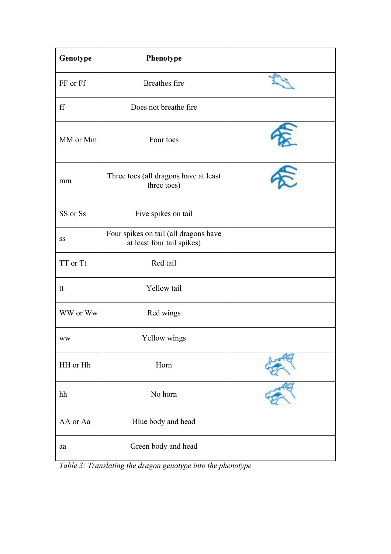| Genotype            | Phenotype                                                           |                          |
|---------------------|---------------------------------------------------------------------|--------------------------|
| FF or Ff            | Breathes fire                                                       |                          |
| $\operatorname{ff}$ | Does not breathe fire                                               |                          |
| MM or Mm            | Four toes                                                           | $\overline{\phantom{a}}$ |
| mm                  | Three toes (all dragons have at least<br>three toes)                |                          |
| SS or Ss            | Five spikes on tail                                                 |                          |
| SS                  | Four spikes on tail (all dragons have<br>at least four tail spikes) |                          |
| TT or Tt            | Red tail                                                            |                          |
| tt                  | Yellow tail                                                         |                          |
| WW or Ww            | Red wings                                                           |                          |
| <b>WW</b>           | Yellow wings                                                        |                          |
| HH or Hh            | Horn                                                                |                          |
| hh                  | No horn                                                             |                          |
| AA or Aa            | Blue body and head                                                  |                          |
| aa                  | Green body and head                                                 |                          |

*Table 3: Translating the dragon genotype into the phenotype*